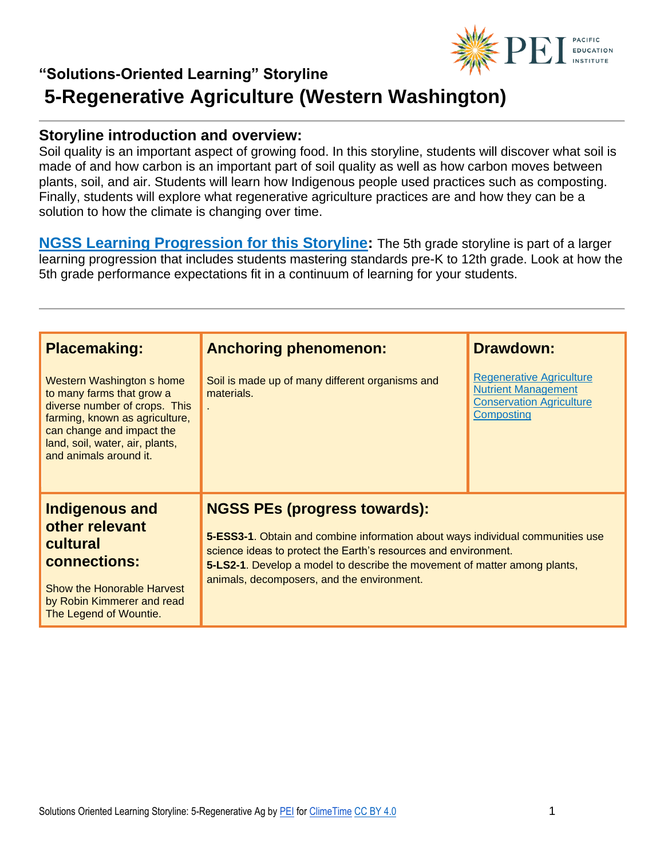

### **"Solutions-Oriented Learning" Storyline 5-Regenerative Agriculture (Western Washington)**

#### **Storyline introduction and overview:**

Soil quality is an important aspect of growing food. In this storyline, students will discover what soil is made of and how carbon is an important part of soil quality as well as how carbon moves between plants, soil, and air. Students will learn how Indigenous people used practices such as composting. Finally, students will explore what regenerative agriculture practices are and how they can be a solution to how the climate is changing over time.

**[NGSS Learning Progression for this Storyline:](https://pacificeductioninstitute.sharepoint.com/:x:/s/Program/EQ6jx72eybpMoG6LAwvMxSIBOk8hoF2Tlk827quJB_Kg0g?e=6u21Om)** The 5th grade storyline is part of a larger learning progression that includes students mastering standards pre-K to 12th grade. Look at how the 5th grade performance expectations fit in a continuum of learning for your students.

| <b>Placemaking:</b>                                                                                                                                                                                                 | <b>Anchoring phenomenon:</b>                                                                                                                                                                                                                                                                                        | <b>Drawdown:</b>                                                                                               |
|---------------------------------------------------------------------------------------------------------------------------------------------------------------------------------------------------------------------|---------------------------------------------------------------------------------------------------------------------------------------------------------------------------------------------------------------------------------------------------------------------------------------------------------------------|----------------------------------------------------------------------------------------------------------------|
| Western Washington s home<br>to many farms that grow a<br>diverse number of crops. This<br>farming, known as agriculture,<br>can change and impact the<br>land, soil, water, air, plants,<br>and animals around it. | Soil is made up of many different organisms and<br>materials.                                                                                                                                                                                                                                                       | <b>Regenerative Agriculture</b><br><b>Nutrient Management</b><br><b>Conservation Agriculture</b><br>Composting |
| <b>Indigenous and</b><br>other relevant<br>cultural<br>connections:<br>Show the Honorable Harvest<br>by Robin Kimmerer and read<br>The Legend of Wountie.                                                           | <b>NGSS PEs (progress towards):</b><br>5-ESS3-1. Obtain and combine information about ways individual communities use<br>science ideas to protect the Earth's resources and environment.<br>5-LS2-1. Develop a model to describe the movement of matter among plants,<br>animals, decomposers, and the environment. |                                                                                                                |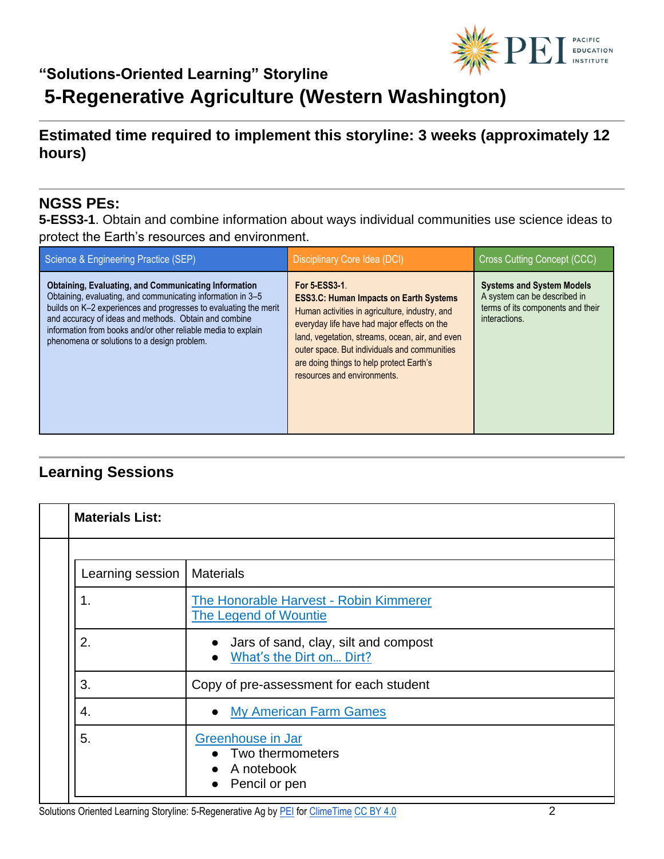

# **5-Regenerative Agriculture (Western Washington)**

### **Estimated time required to implement this storyline: 3 weeks (approximately 12 hours)**

#### **NGSS PEs:**

**5-ESS3-1**. Obtain and combine information about ways individual communities use science ideas to protect the Earth's resources and environment.

| Science & Engineering Practice (SEP)                                                                                                                                                                                                                                                                                                                                    | Disciplinary Core Idea (DCI)                                                                                                                                                                                                                                                                                                                         | Cross Cutting Concept (CCC)                                                                                            |
|-------------------------------------------------------------------------------------------------------------------------------------------------------------------------------------------------------------------------------------------------------------------------------------------------------------------------------------------------------------------------|------------------------------------------------------------------------------------------------------------------------------------------------------------------------------------------------------------------------------------------------------------------------------------------------------------------------------------------------------|------------------------------------------------------------------------------------------------------------------------|
| <b>Obtaining, Evaluating, and Communicating Information</b><br>Obtaining, evaluating, and communicating information in 3-5<br>builds on K-2 experiences and progresses to evaluating the merit<br>and accuracy of ideas and methods. Obtain and combine<br>information from books and/or other reliable media to explain<br>phenomena or solutions to a design problem. | <b>For 5-ESS3-1.</b><br><b>ESS3.C: Human Impacts on Earth Systems</b><br>Human activities in agriculture, industry, and<br>everyday life have had major effects on the<br>land, vegetation, streams, ocean, air, and even<br>outer space. But individuals and communities<br>are doing things to help protect Earth's<br>resources and environments. | <b>Systems and System Models</b><br>A system can be described in<br>terms of its components and their<br>interactions. |

### **Learning Sessions**

| <b>Materials List:</b> |                                                                                  |
|------------------------|----------------------------------------------------------------------------------|
|                        |                                                                                  |
| Learning session       | <b>Materials</b>                                                                 |
| 1.                     | The Honorable Harvest - Robin Kimmerer<br><b>The Legend of Wountie</b>           |
| 2.                     | Jars of sand, clay, silt and compost<br>What's the Dirt on Dirt?                 |
| 3.                     | Copy of pre-assessment for each student                                          |
| 4.                     | <b>My American Farm Games</b>                                                    |
| 5.                     | Greenhouse in Jar<br>• Two thermometers<br>$\bullet$ A notebook<br>Pencil or pen |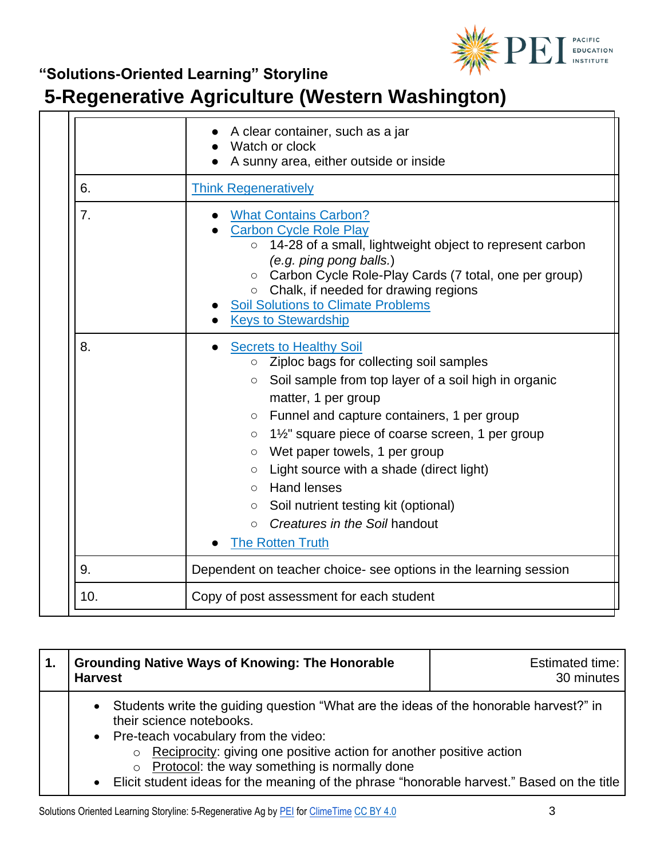

# **5-Regenerative Agriculture (Western Washington)**

|                                                                        | A clear container, such as a jar<br>Watch or clock<br>A sunny area, either outside or inside                                                                                                                                                                                                                                                                                                                                                                                                                                                                   |
|------------------------------------------------------------------------|----------------------------------------------------------------------------------------------------------------------------------------------------------------------------------------------------------------------------------------------------------------------------------------------------------------------------------------------------------------------------------------------------------------------------------------------------------------------------------------------------------------------------------------------------------------|
| 6.                                                                     | <b>Think Regeneratively</b>                                                                                                                                                                                                                                                                                                                                                                                                                                                                                                                                    |
| 7.                                                                     | <b>What Contains Carbon?</b><br><b>Carbon Cycle Role Play</b><br>14-28 of a small, lightweight object to represent carbon<br>$\circ$<br>(e.g. ping pong balls.)<br>○ Carbon Cycle Role-Play Cards (7 total, one per group)<br>$\circ$ Chalk, if needed for drawing regions<br><b>Soil Solutions to Climate Problems</b><br><b>Keys to Stewardship</b>                                                                                                                                                                                                          |
| 8.                                                                     | <b>Secrets to Healthy Soil</b><br>Ziploc bags for collecting soil samples<br>$\circ$<br>Soil sample from top layer of a soil high in organic<br>$\circ$<br>matter, 1 per group<br>Funnel and capture containers, 1 per group<br>$\circ$<br>1½" square piece of coarse screen, 1 per group<br>$\circ$<br>Wet paper towels, 1 per group<br>$\circ$<br>Light source with a shade (direct light)<br>$\circ$<br><b>Hand lenses</b><br>$\circ$<br>Soil nutrient testing kit (optional)<br>$\circ$<br>Creatures in the Soil handout<br>$\bigcirc$<br>The Rotten Truth |
| 9.<br>Dependent on teacher choice- see options in the learning session |                                                                                                                                                                                                                                                                                                                                                                                                                                                                                                                                                                |
| 10.                                                                    | Copy of post assessment for each student                                                                                                                                                                                                                                                                                                                                                                                                                                                                                                                       |

| <b>Grounding Native Ways of Knowing: The Honorable</b><br><b>Harvest</b>                                                                                                                                                                                                                                                                                                                                   | Estimated time:<br>30 minutes |
|------------------------------------------------------------------------------------------------------------------------------------------------------------------------------------------------------------------------------------------------------------------------------------------------------------------------------------------------------------------------------------------------------------|-------------------------------|
| • Students write the guiding question "What are the ideas of the honorable harvest?" in<br>their science notebooks.<br>• Pre-teach vocabulary from the video:<br>Reciprocity: giving one positive action for another positive action<br>$\circ$<br>Protocol: the way something is normally done<br>$\circ$<br>• Elicit student ideas for the meaning of the phrase "honorable harvest." Based on the title |                               |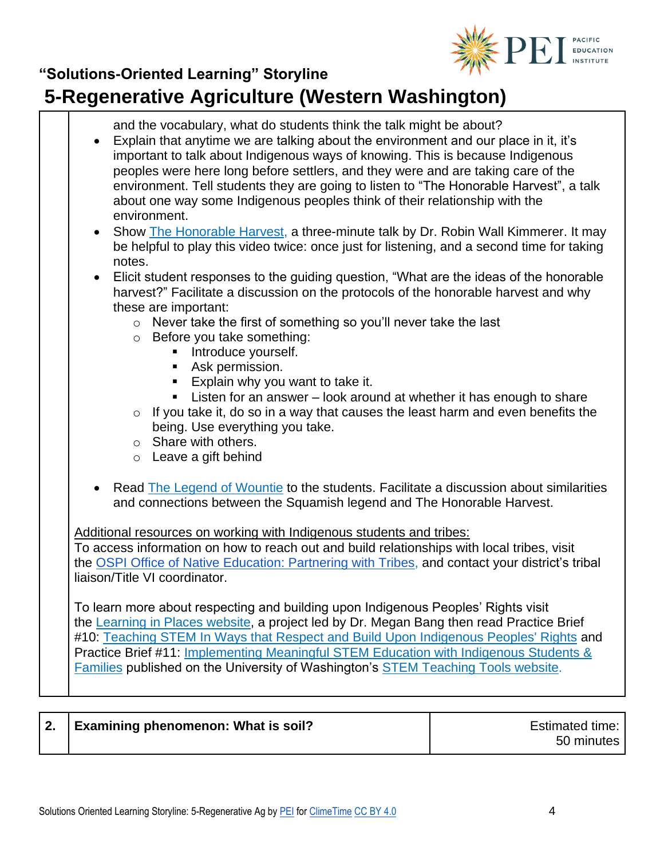

### **"Solutions-Oriented Learning" Storyline 5-Regenerative Agriculture (Western Washington)**

and the vocabulary, what do students think the talk might be about? • Explain that anytime we are talking about the environment and our place in it, it's important to talk about Indigenous ways of knowing. This is because Indigenous peoples were here long before settlers, and they were and are taking care of the environment. Tell students they are going to listen to "The Honorable Harvest", a talk about one way some Indigenous peoples think of their relationship with the environment. Show [The Honorable Harvest,](https://www.youtube.com/watch?v=cEm7gbIax0o) a three-minute talk by Dr. Robin Wall Kimmerer. It may be helpful to play this video twice: once just for listening, and a second time for taking notes. • Elicit student responses to the guiding question, "What are the ideas of the honorable harvest?" Facilitate a discussion on the protocols of the honorable harvest and why these are important: o Never take the first of something so you'll never take the last o Before you take something: **■** Introduce yourself. ■ Ask permission. ■ Explain why you want to take it. ■ Listen for an answer – look around at whether it has enough to share  $\circ$  If you take it, do so in a way that causes the least harm and even benefits the being. Use everything you take. o Share with others. o Leave a gift behind • Read [The Legend of Wountie](https://www.google.com/url?q=https://www.firstpeople.us/FP-Html-Legends/TheLegendofWountie-Squamish.html&sa=D&source=editors&ust=1624894377403000&usg=AOvVaw0B4o9zTAbufJCw-KSbucQD) to the students. Facilitate a discussion about similarities and connections between the Squamish legend and The Honorable Harvest. Additional resources on working with Indigenous students and tribes: To access information on how to reach out and build relationships with local tribes, visit the [OSPI Office of Native Education: Partnering with Tribes,](https://www.k12.wa.us/student-success/resources-subject-area/time-immemorial-tribal-sovereignty-washington-state/partnering-tribes) and contact your district's tribal liaison/Title VI coordinator. To learn more about respecting and building upon Indigenous Peoples' Rights visit the [Learning in Places website,](http://learninginplaces.org/) a project led by Dr. Megan Bang then read Practice Brief #10[:](http://stemteachingtools.org/brief/10) [Teaching STEM In Ways that Respect and Build](http://stemteachingtools.org/brief/10) Upon Indigenous Peoples' Rights and Practice Brief #11[:](http://stemteachingtools.org/brief/11) [Implementing Meaningful STEM Education with Indigenous Students &](http://stemteachingtools.org/brief/11)  [Families](http://stemteachingtools.org/brief/11) published on the University of Washington's [STEM Teaching Tools website](http://stemteachingtools.org/).

| <b>Examining phenomenon: What is soil?</b><br>Estimated time:<br>Z.<br>50 minutes |  |
|-----------------------------------------------------------------------------------|--|
|-----------------------------------------------------------------------------------|--|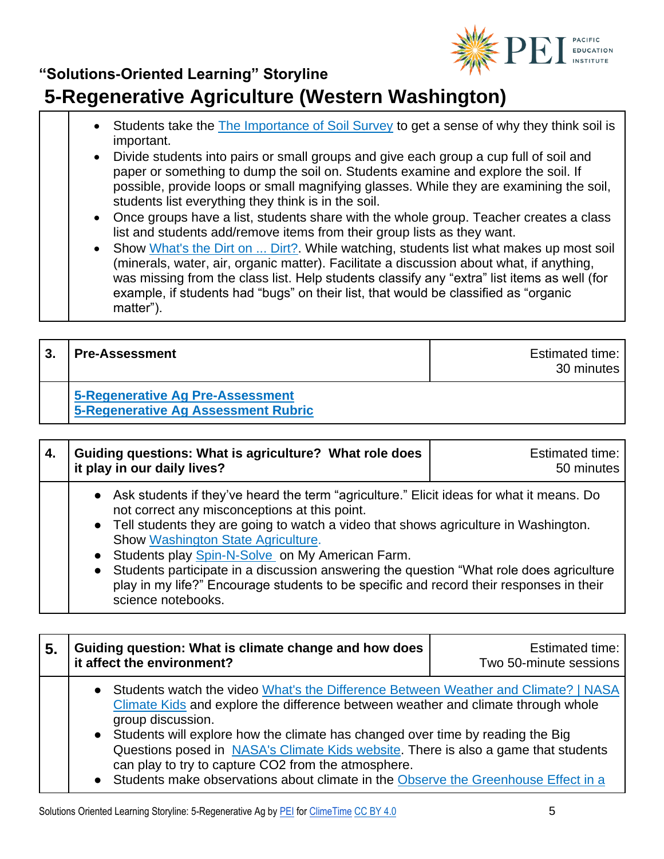

## **5-Regenerative Agriculture (Western Washington)**

- Students take the [The Importance of Soil Survey](https://docs.google.com/document/d/1vRRrLOatmaDeaKOmNR-XOFb38uekaEJ3-_wPhnDVzow/edit) to get a sense of why they think soil is important.
- Divide students into pairs or small groups and give each group a cup full of soil and paper or something to dump the soil on. Students examine and explore the soil. If possible, provide loops or small magnifying glasses. While they are examining the soil, students list everything they think is in the soil.
- Once groups have a list, students share with the whole group. Teacher creates a class list and students add/remove items from their group lists as they want.
- Show [What's the Dirt on ... Dirt?.](https://www.youtube.com/watch?v=if29mjcd5bc) While watching, students list what makes up most soil (minerals, water, air, organic matter). Facilitate a discussion about what, if anything, was missing from the class list. Help students classify any "extra" list items as well (for example, if students had "bugs" on their list, that would be classified as "organic matter").

| <b>Pre-Assessment</b>                                                   | <b>Estimated time:</b><br>30 minutes |
|-------------------------------------------------------------------------|--------------------------------------|
| 5-Regenerative Ag Pre-Assessment<br>5-Regenerative Ag Assessment Rubric |                                      |

| 4. | Guiding questions: What is agriculture? What role does<br>it play in our daily lives?                                                                                                                                                                                                                                                                                                                                                                                                                                                                    | <b>Estimated time:</b><br>50 minutes |
|----|----------------------------------------------------------------------------------------------------------------------------------------------------------------------------------------------------------------------------------------------------------------------------------------------------------------------------------------------------------------------------------------------------------------------------------------------------------------------------------------------------------------------------------------------------------|--------------------------------------|
|    | • Ask students if they've heard the term "agriculture." Elicit ideas for what it means. Do<br>not correct any misconceptions at this point.<br>• Tell students they are going to watch a video that shows agriculture in Washington.<br>Show Washington State Agriculture.<br>• Students play Spin-N-Solve on My American Farm.<br>Students participate in a discussion answering the question "What role does agriculture<br>$\bullet$<br>play in my life?" Encourage students to be specific and record their responses in their<br>science notebooks. |                                      |

| 5 <sub>1</sub> | Guiding question: What is climate change and how does<br>it affect the environment?                                                                                                                                                                                                                                                                                                                                                                                                                                     | <b>Estimated time:</b><br>Two 50-minute sessions |
|----------------|-------------------------------------------------------------------------------------------------------------------------------------------------------------------------------------------------------------------------------------------------------------------------------------------------------------------------------------------------------------------------------------------------------------------------------------------------------------------------------------------------------------------------|--------------------------------------------------|
|                | • Students watch the video What's the Difference Between Weather and Climate?   NASA<br>Climate Kids and explore the difference between weather and climate through whole<br>group discussion.<br>• Students will explore how the climate has changed over time by reading the Big<br>Questions posed in NASA's Climate Kids website. There is also a game that students<br>can play to try to capture CO2 from the atmosphere.<br>• Students make observations about climate in the Observe the Greenhouse Effect in a |                                                  |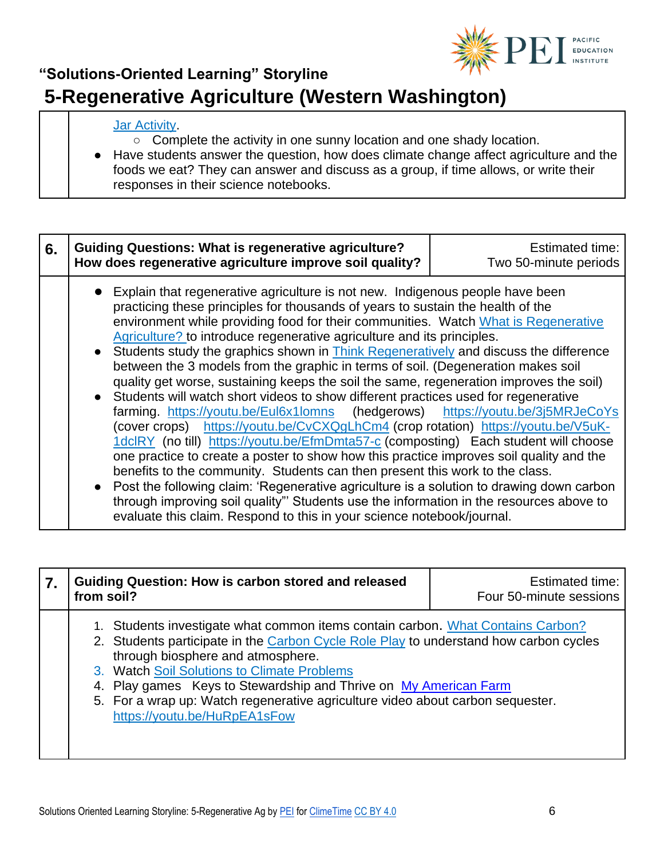

### **"Solutions-Oriented Learning" Storyline 5-Regenerative Agriculture (Western Washington)**

#### **Jar Activity**.

○ Complete the activity in one sunny location and one shady location.

● Have students answer the question, how does climate change affect agriculture and the foods we eat? They can answer and discuss as a group, if time allows, or write their responses in their science notebooks.

| 6. | <b>Guiding Questions: What is regenerative agriculture?</b><br>How does regenerative agriculture improve soil quality?                                                                                                                                                                                                                                                                                                                                                                                                                                                                                                                                                                                                                                                                                                                                                                                                                                                                                                                                                                                                                                                                                                                                                                                                                                                                                         | Estimated time:<br>Two 50-minute periods |
|----|----------------------------------------------------------------------------------------------------------------------------------------------------------------------------------------------------------------------------------------------------------------------------------------------------------------------------------------------------------------------------------------------------------------------------------------------------------------------------------------------------------------------------------------------------------------------------------------------------------------------------------------------------------------------------------------------------------------------------------------------------------------------------------------------------------------------------------------------------------------------------------------------------------------------------------------------------------------------------------------------------------------------------------------------------------------------------------------------------------------------------------------------------------------------------------------------------------------------------------------------------------------------------------------------------------------------------------------------------------------------------------------------------------------|------------------------------------------|
|    | • Explain that regenerative agriculture is not new. Indigenous people have been<br>practicing these principles for thousands of years to sustain the health of the<br>environment while providing food for their communities. Watch What is Regenerative<br>Agriculture? to introduce regenerative agriculture and its principles.<br>• Students study the graphics shown in Think Regeneratively and discuss the difference<br>between the 3 models from the graphic in terms of soil. (Degeneration makes soil<br>quality get worse, sustaining keeps the soil the same, regeneration improves the soil)<br>• Students will watch short videos to show different practices used for regenerative<br>farming. https://youtu.be/Eul6x1lomns (hedgerows) https://youtu.be/3j5MRJeCoYs<br>(cover crops) https://youtu.be/CvCXQgLhCm4 (crop rotation) https://youtu.be/V5uK-<br>1dclRY (no till) https://youtu.be/EfmDmta57-c (composting) Each student will choose<br>one practice to create a poster to show how this practice improves soil quality and the<br>benefits to the community. Students can then present this work to the class.<br>• Post the following claim: 'Regenerative agriculture is a solution to drawing down carbon<br>through improving soil quality"' Students use the information in the resources above to<br>evaluate this claim. Respond to this in your science notebook/journal. |                                          |

| Guiding Question: How is carbon stored and released<br>from soil?                                                                                                                                                                                                                                                                                                                                                                                  | <b>Estimated time:</b><br>Four 50-minute sessions |
|----------------------------------------------------------------------------------------------------------------------------------------------------------------------------------------------------------------------------------------------------------------------------------------------------------------------------------------------------------------------------------------------------------------------------------------------------|---------------------------------------------------|
| 1. Students investigate what common items contain carbon. What Contains Carbon?<br>2. Students participate in the Carbon Cycle Role Play to understand how carbon cycles<br>through biosphere and atmosphere.<br>3. Watch Soil Solutions to Climate Problems<br>4. Play games Keys to Stewardship and Thrive on My American Farm<br>5. For a wrap up: Watch regenerative agriculture video about carbon sequester.<br>https://youtu.be/HuRpEA1sFow |                                                   |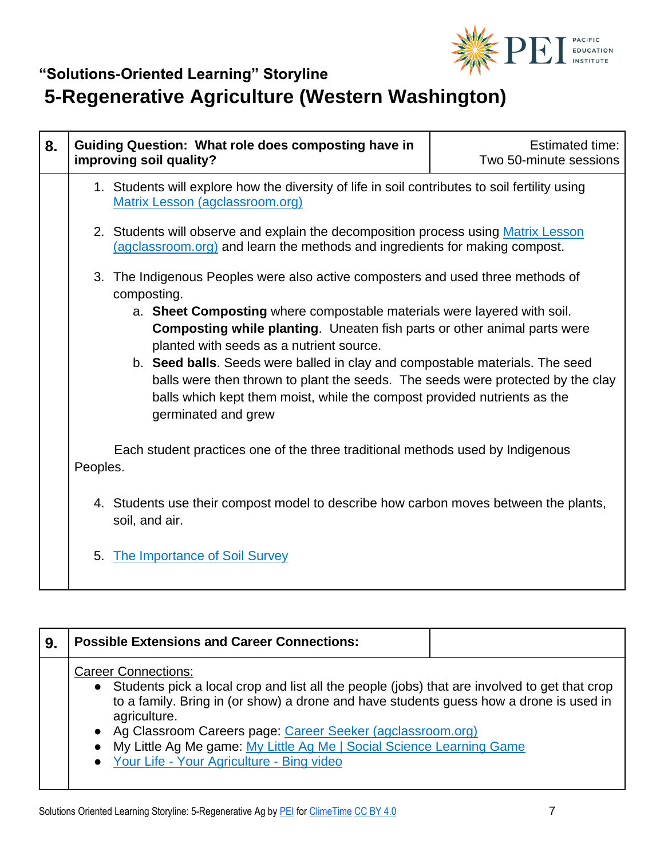

# **5-Regenerative Agriculture (Western Washington)**

| 8. | <b>Guiding Question: What role does composting have in</b><br>improving soil quality?                                                                                                                                                                                                                                                                                                                                                                                                                                                                                          | <b>Estimated time:</b><br>Two 50-minute sessions |
|----|--------------------------------------------------------------------------------------------------------------------------------------------------------------------------------------------------------------------------------------------------------------------------------------------------------------------------------------------------------------------------------------------------------------------------------------------------------------------------------------------------------------------------------------------------------------------------------|--------------------------------------------------|
|    | 1. Students will explore how the diversity of life in soil contributes to soil fertility using<br>Matrix Lesson (agclassroom.org)                                                                                                                                                                                                                                                                                                                                                                                                                                              |                                                  |
|    | 2. Students will observe and explain the decomposition process using Matrix Lesson<br>(agclassroom.org) and learn the methods and ingredients for making compost.                                                                                                                                                                                                                                                                                                                                                                                                              |                                                  |
|    | 3. The Indigenous Peoples were also active composters and used three methods of<br>composting.<br>a. Sheet Composting where compostable materials were layered with soil.<br><b>Composting while planting.</b> Uneaten fish parts or other animal parts were<br>planted with seeds as a nutrient source.<br>b. Seed balls. Seeds were balled in clay and compostable materials. The seed<br>balls were then thrown to plant the seeds. The seeds were protected by the clay<br>balls which kept them moist, while the compost provided nutrients as the<br>germinated and grew |                                                  |
|    | Each student practices one of the three traditional methods used by Indigenous<br>Peoples.                                                                                                                                                                                                                                                                                                                                                                                                                                                                                     |                                                  |
|    | 4. Students use their compost model to describe how carbon moves between the plants,<br>soil, and air.                                                                                                                                                                                                                                                                                                                                                                                                                                                                         |                                                  |
|    | 5. The Importance of Soil Survey                                                                                                                                                                                                                                                                                                                                                                                                                                                                                                                                               |                                                  |

| 9. | <b>Possible Extensions and Career Connections:</b>                                                                                                                                                                                                                                                                                                                                                                              |  |
|----|---------------------------------------------------------------------------------------------------------------------------------------------------------------------------------------------------------------------------------------------------------------------------------------------------------------------------------------------------------------------------------------------------------------------------------|--|
|    | <b>Career Connections:</b><br>• Students pick a local crop and list all the people (jobs) that are involved to get that crop<br>to a family. Bring in (or show) a drone and have students guess how a drone is used in<br>agriculture.<br>• Ag Classroom Careers page: Career Seeker (agclassroom.org)<br>• My Little Ag Me game: My Little Ag Me   Social Science Learning Game<br>• Your Life - Your Agriculture - Bing video |  |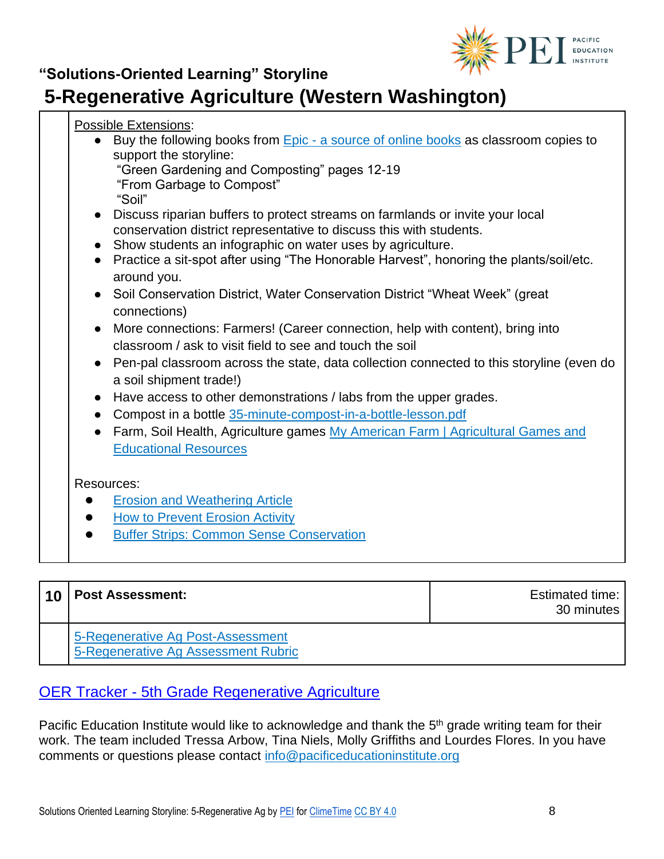

## **5-Regenerative Agriculture (Western Washington)**

| <b>Possible Extensions:</b>                                                                  |  |  |
|----------------------------------------------------------------------------------------------|--|--|
| Buy the following books from <b>Epic</b> - a source of online books as classroom copies to   |  |  |
| support the storyline:                                                                       |  |  |
| "Green Gardening and Composting" pages 12-19<br>"From Garbage to Compost"                    |  |  |
| "Soil"                                                                                       |  |  |
| • Discuss riparian buffers to protect streams on farmlands or invite your local              |  |  |
| conservation district representative to discuss this with students.                          |  |  |
| • Show students an infographic on water uses by agriculture.                                 |  |  |
| • Practice a sit-spot after using "The Honorable Harvest", honoring the plants/soil/etc.     |  |  |
| around you.<br>• Soil Conservation District, Water Conservation District "Wheat Week" (great |  |  |
| connections)                                                                                 |  |  |
| More connections: Farmers! (Career connection, help with content), bring into                |  |  |
| classroom / ask to visit field to see and touch the soil                                     |  |  |
| Pen-pal classroom across the state, data collection connected to this storyline (even do     |  |  |
| a soil shipment trade!)                                                                      |  |  |
| Have access to other demonstrations / labs from the upper grades.                            |  |  |
| Compost in a bottle 35-minute-compost-in-a-bottle-lesson.pdf                                 |  |  |
| Farm, Soil Health, Agriculture games My American Farm   Agricultural Games and               |  |  |
| <b>Educational Resources</b>                                                                 |  |  |
|                                                                                              |  |  |
| Resources:                                                                                   |  |  |
| <b>Erosion and Weathering Article</b>                                                        |  |  |
| <b>How to Prevent Erosion Activity</b><br>$\bullet$                                          |  |  |
| <b>Buffer Strips: Common Sense Conservation</b><br>$\bullet$                                 |  |  |

| $\overline{10}$ | <b>Post Assessment:</b>                                                  | <b>Estimated time:</b><br>30 minutes |
|-----------------|--------------------------------------------------------------------------|--------------------------------------|
|                 | 5-Regenerative Ag Post-Assessment<br>5-Regenerative Ag Assessment Rubric |                                      |

#### OER Tracker - [5th Grade Regenerative Agriculture](https://pacificeductioninstitute.sharepoint.com/:x:/r/sites/Program/_layouts/15/Doc.aspx?sourcedoc=%7B611CF498-E102-42F2-8B29-25D3B33546CF%7D&file=OER%20Tracker-5-Regenerative%20Ag.xlsx&action=default&mobileredirect=true&cid=23713954-1bfe-4cd1-97e4-0007a402220a)

Pacific Education Institute would like to acknowledge and thank the 5<sup>th</sup> grade writing team for their work. The team included Tressa Arbow, Tina Niels, Molly Griffiths and Lourdes Flores. In you have comments or questions please contact [info@pacificeducationinstitute.org](mailto:info@pacificeducationinstitute.org)